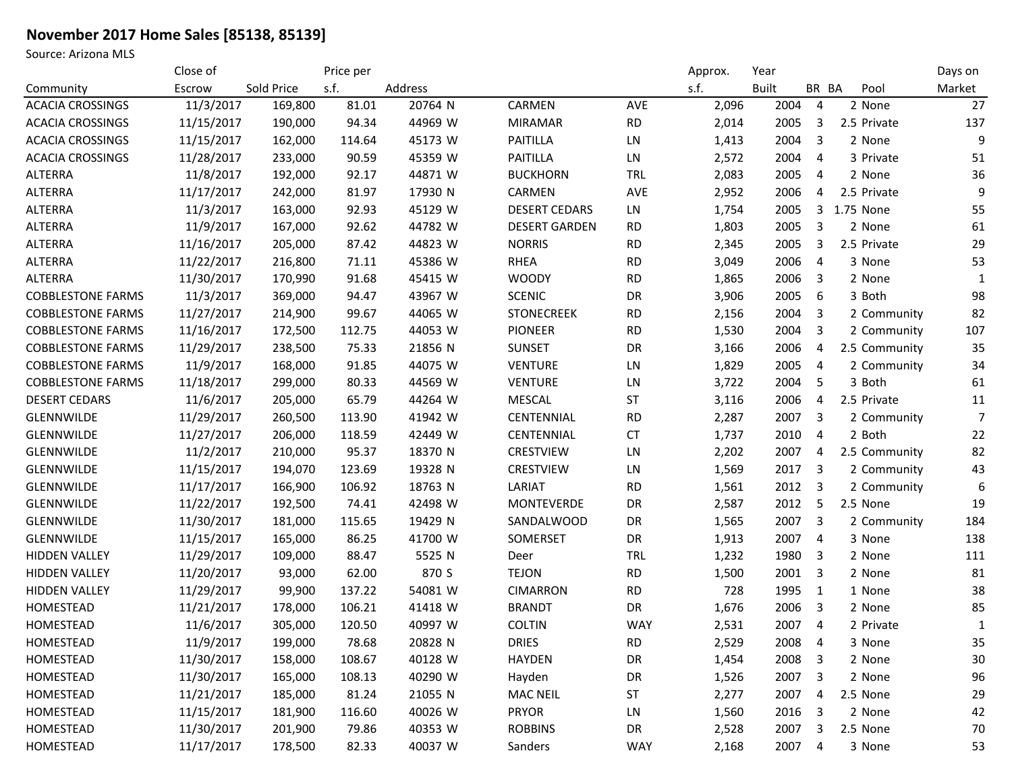## **November 2017 Home Sales [85138, 85139]**

Source: Arizona MLS

|                          | Close of   |            | Price per |         |                      |            | Approx. | Year         |                |               | Days on      |
|--------------------------|------------|------------|-----------|---------|----------------------|------------|---------|--------------|----------------|---------------|--------------|
| Community                | Escrow     | Sold Price | s.f.      | Address |                      |            | s.f.    | <b>Built</b> | BR BA          | Pool          | Market       |
| <b>ACACIA CROSSINGS</b>  | 11/3/2017  | 169,800    | 81.01     | 20764 N | CARMEN               | <b>AVE</b> | 2,096   | 2004         | $\overline{4}$ | 2 None        | 27           |
| <b>ACACIA CROSSINGS</b>  | 11/15/2017 | 190,000    | 94.34     | 44969 W | <b>MIRAMAR</b>       | <b>RD</b>  | 2,014   | 2005         | 3              | 2.5 Private   | 137          |
| <b>ACACIA CROSSINGS</b>  | 11/15/2017 | 162,000    | 114.64    | 45173 W | <b>PAITILLA</b>      | LN         | 1,413   | 2004         | 3              | 2 None        | 9            |
| <b>ACACIA CROSSINGS</b>  | 11/28/2017 | 233,000    | 90.59     | 45359 W | <b>PAITILLA</b>      | LN         | 2,572   | 2004         | 4              | 3 Private     | 51           |
| <b>ALTERRA</b>           | 11/8/2017  | 192,000    | 92.17     | 44871 W | <b>BUCKHORN</b>      | <b>TRL</b> | 2,083   | 2005         | 4              | 2 None        | 36           |
| <b>ALTERRA</b>           | 11/17/2017 | 242,000    | 81.97     | 17930 N | CARMEN               | AVE        | 2,952   | 2006         | 4              | 2.5 Private   | 9            |
| <b>ALTERRA</b>           | 11/3/2017  | 163,000    | 92.93     | 45129 W | <b>DESERT CEDARS</b> | LN         | 1,754   | 2005         | 3              | 1.75 None     | 55           |
| <b>ALTERRA</b>           | 11/9/2017  | 167,000    | 92.62     | 44782 W | <b>DESERT GARDEN</b> | <b>RD</b>  | 1,803   | 2005         | 3              | 2 None        | 61           |
| <b>ALTERRA</b>           | 11/16/2017 | 205,000    | 87.42     | 44823 W | <b>NORRIS</b>        | <b>RD</b>  | 2,345   | 2005         | 3              | 2.5 Private   | 29           |
| <b>ALTERRA</b>           | 11/22/2017 | 216,800    | 71.11     | 45386 W | <b>RHEA</b>          | <b>RD</b>  | 3,049   | 2006         | 4              | 3 None        | 53           |
| <b>ALTERRA</b>           | 11/30/2017 | 170,990    | 91.68     | 45415 W | <b>WOODY</b>         | <b>RD</b>  | 1,865   | 2006         | 3              | 2 None        | 1            |
| <b>COBBLESTONE FARMS</b> | 11/3/2017  | 369,000    | 94.47     | 43967 W | <b>SCENIC</b>        | DR         | 3,906   | 2005         | 6              | 3 Both        | 98           |
| <b>COBBLESTONE FARMS</b> | 11/27/2017 | 214,900    | 99.67     | 44065 W | <b>STONECREEK</b>    | <b>RD</b>  | 2,156   | 2004         | 3              | 2 Community   | 82           |
| <b>COBBLESTONE FARMS</b> | 11/16/2017 | 172,500    | 112.75    | 44053 W | <b>PIONEER</b>       | <b>RD</b>  | 1,530   | 2004         | 3              | 2 Community   | 107          |
| <b>COBBLESTONE FARMS</b> | 11/29/2017 | 238,500    | 75.33     | 21856 N | <b>SUNSET</b>        | DR         | 3,166   | 2006         | $\overline{4}$ | 2.5 Community | 35           |
| <b>COBBLESTONE FARMS</b> | 11/9/2017  | 168,000    | 91.85     | 44075 W | <b>VENTURE</b>       | LN         | 1,829   | 2005         | $\overline{4}$ | 2 Community   | 34           |
| <b>COBBLESTONE FARMS</b> | 11/18/2017 | 299,000    | 80.33     | 44569 W | <b>VENTURE</b>       | LN         | 3,722   | 2004         | 5              | 3 Both        | 61           |
| <b>DESERT CEDARS</b>     | 11/6/2017  | 205,000    | 65.79     | 44264 W | <b>MESCAL</b>        | <b>ST</b>  | 3,116   | 2006         | 4              | 2.5 Private   | 11           |
| GLENNWILDE               | 11/29/2017 | 260,500    | 113.90    | 41942 W | CENTENNIAL           | <b>RD</b>  | 2,287   | 2007         | 3              | 2 Community   | 7            |
| GLENNWILDE               | 11/27/2017 | 206,000    | 118.59    | 42449 W | CENTENNIAL           | <b>CT</b>  | 1,737   | 2010         | 4              | 2 Both        | 22           |
| GLENNWILDE               | 11/2/2017  | 210,000    | 95.37     | 18370 N | <b>CRESTVIEW</b>     | LN         | 2,202   | 2007         | 4              | 2.5 Community | 82           |
| GLENNWILDE               | 11/15/2017 | 194,070    | 123.69    | 19328 N | <b>CRESTVIEW</b>     | LN         | 1,569   | 2017         | 3              | 2 Community   | 43           |
| GLENNWILDE               | 11/17/2017 | 166,900    | 106.92    | 18763 N | LARIAT               | <b>RD</b>  | 1,561   | 2012         | 3              | 2 Community   | 6            |
| GLENNWILDE               | 11/22/2017 | 192,500    | 74.41     | 42498 W | <b>MONTEVERDE</b>    | DR         | 2,587   | 2012         | 5              | 2.5 None      | 19           |
| GLENNWILDE               | 11/30/2017 | 181,000    | 115.65    | 19429 N | SANDALWOOD           | DR         | 1,565   | 2007         | 3              | 2 Community   | 184          |
| GLENNWILDE               | 11/15/2017 | 165,000    | 86.25     | 41700 W | SOMERSET             | DR         | 1,913   | 2007         | $\overline{4}$ | 3 None        | 138          |
| <b>HIDDEN VALLEY</b>     | 11/29/2017 | 109,000    | 88.47     | 5525 N  | Deer                 | <b>TRL</b> | 1,232   | 1980         | 3              | 2 None        | 111          |
| <b>HIDDEN VALLEY</b>     | 11/20/2017 | 93,000     | 62.00     | 870 S   | <b>TEJON</b>         | <b>RD</b>  | 1,500   | 2001         | 3              | 2 None        | 81           |
| <b>HIDDEN VALLEY</b>     | 11/29/2017 | 99,900     | 137.22    | 54081 W | <b>CIMARRON</b>      | <b>RD</b>  | 728     | 1995         | 1              | 1 None        | 38           |
| HOMESTEAD                | 11/21/2017 | 178,000    | 106.21    | 41418 W | <b>BRANDT</b>        | DR         | 1,676   | 2006         | 3              | 2 None        | 85           |
| HOMESTEAD                | 11/6/2017  | 305,000    | 120.50    | 40997 W | <b>COLTIN</b>        | <b>WAY</b> | 2,531   | 2007         | $\overline{4}$ | 2 Private     | $\mathbf{1}$ |
| HOMESTEAD                | 11/9/2017  | 199,000    | 78.68     | 20828 N | <b>DRIES</b>         | <b>RD</b>  | 2,529   | 2008         | $\pmb{4}$      | 3 None        | $35\,$       |
| HOMESTEAD                | 11/30/2017 | 158,000    | 108.67    | 40128 W | <b>HAYDEN</b>        | DR         | 1,454   | 2008         | 3              | 2 None        | $30\,$       |
| HOMESTEAD                | 11/30/2017 | 165,000    | 108.13    | 40290 W | Hayden               | DR         | 1,526   | 2007         | 3              | 2 None        | 96           |
| HOMESTEAD                | 11/21/2017 | 185,000    | 81.24     | 21055 N | <b>MAC NEIL</b>      | ST         | 2,277   | 2007         | 4              | 2.5 None      | 29           |
| HOMESTEAD                | 11/15/2017 | 181,900    | 116.60    | 40026 W | <b>PRYOR</b>         | LN         | 1,560   | 2016         | 3              | 2 None        | 42           |
| HOMESTEAD                | 11/30/2017 | 201,900    | 79.86     | 40353 W | <b>ROBBINS</b>       | DR         | 2,528   | 2007         | 3              | 2.5 None      | 70           |
| HOMESTEAD                | 11/17/2017 | 178,500    | 82.33     | 40037 W | Sanders              | WAY        | 2,168   | 2007         | 4              | 3 None        | 53           |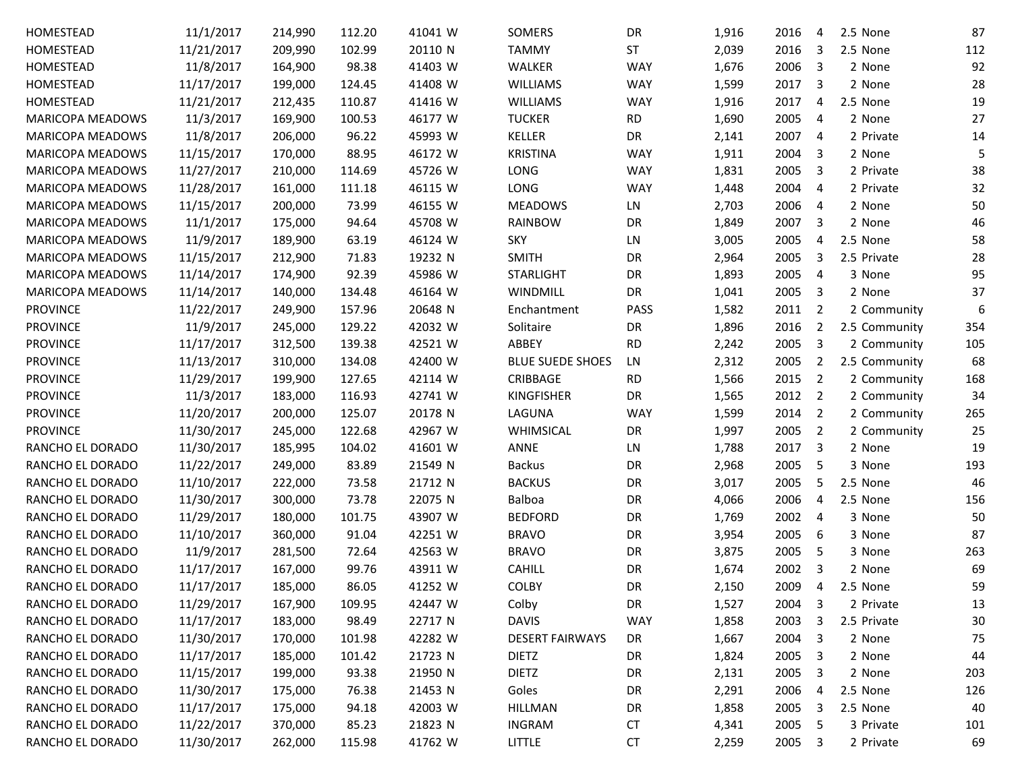| HOMESTEAD               | 11/1/2017  | 214,990 | 112.20 | 41041 W | SOMERS                  | DR          | 1,916 | 2016 | 4                       | 2.5 None      | 87  |
|-------------------------|------------|---------|--------|---------|-------------------------|-------------|-------|------|-------------------------|---------------|-----|
| HOMESTEAD               | 11/21/2017 | 209,990 | 102.99 | 20110 N | <b>TAMMY</b>            | <b>ST</b>   | 2,039 | 2016 | -3                      | 2.5 None      | 112 |
| HOMESTEAD               | 11/8/2017  | 164,900 | 98.38  | 41403 W | WALKER                  | <b>WAY</b>  | 1,676 | 2006 | -3                      | 2 None        | 92  |
| HOMESTEAD               | 11/17/2017 | 199,000 | 124.45 | 41408 W | <b>WILLIAMS</b>         | <b>WAY</b>  | 1,599 | 2017 | 3                       | 2 None        | 28  |
| HOMESTEAD               | 11/21/2017 | 212,435 | 110.87 | 41416 W | <b>WILLIAMS</b>         | <b>WAY</b>  | 1,916 | 2017 | $\overline{4}$          | 2.5 None      | 19  |
| MARICOPA MEADOWS        | 11/3/2017  | 169,900 | 100.53 | 46177 W | <b>TUCKER</b>           | <b>RD</b>   | 1,690 | 2005 | -4                      | 2 None        | 27  |
| MARICOPA MEADOWS        | 11/8/2017  | 206,000 | 96.22  | 45993 W | KELLER                  | DR          | 2,141 | 2007 | $\overline{4}$          | 2 Private     | 14  |
| <b>MARICOPA MEADOWS</b> | 11/15/2017 | 170,000 | 88.95  | 46172 W | <b>KRISTINA</b>         | <b>WAY</b>  | 1,911 | 2004 | $\overline{\mathbf{3}}$ | 2 None        | 5   |
| <b>MARICOPA MEADOWS</b> | 11/27/2017 | 210,000 | 114.69 | 45726 W | LONG                    | <b>WAY</b>  | 1,831 | 2005 | -3                      | 2 Private     | 38  |
| MARICOPA MEADOWS        | 11/28/2017 | 161,000 | 111.18 | 46115 W | LONG                    | <b>WAY</b>  | 1,448 | 2004 | - 4                     | 2 Private     | 32  |
| <b>MARICOPA MEADOWS</b> | 11/15/2017 | 200,000 | 73.99  | 46155 W | <b>MEADOWS</b>          | LN          | 2,703 | 2006 | - 4                     | 2 None        | 50  |
| <b>MARICOPA MEADOWS</b> | 11/1/2017  | 175,000 | 94.64  | 45708 W | <b>RAINBOW</b>          | DR          | 1,849 | 2007 | 3                       | 2 None        | 46  |
| <b>MARICOPA MEADOWS</b> | 11/9/2017  | 189,900 | 63.19  | 46124 W | <b>SKY</b>              | LN          | 3,005 | 2005 | 4                       | 2.5 None      | 58  |
| <b>MARICOPA MEADOWS</b> | 11/15/2017 | 212,900 | 71.83  | 19232 N | <b>SMITH</b>            | DR          | 2,964 | 2005 | -3                      | 2.5 Private   | 28  |
| <b>MARICOPA MEADOWS</b> | 11/14/2017 | 174,900 | 92.39  | 45986 W | <b>STARLIGHT</b>        | DR          | 1,893 | 2005 | $\overline{4}$          | 3 None        | 95  |
| <b>MARICOPA MEADOWS</b> | 11/14/2017 | 140,000 | 134.48 | 46164 W | WINDMILL                | DR          | 1,041 | 2005 | -3                      | 2 None        | 37  |
| <b>PROVINCE</b>         | 11/22/2017 | 249,900 | 157.96 | 20648 N | Enchantment             | <b>PASS</b> | 1,582 | 2011 | $\overline{2}$          | 2 Community   | 6   |
| <b>PROVINCE</b>         | 11/9/2017  | 245,000 | 129.22 | 42032 W | Solitaire               | DR          | 1,896 | 2016 | $\overline{2}$          | 2.5 Community | 354 |
| <b>PROVINCE</b>         | 11/17/2017 | 312,500 | 139.38 | 42521 W | ABBEY                   | <b>RD</b>   | 2,242 | 2005 | 3                       | 2 Community   | 105 |
| <b>PROVINCE</b>         | 11/13/2017 | 310,000 | 134.08 | 42400 W | <b>BLUE SUEDE SHOES</b> | LN          | 2,312 | 2005 | $\overline{2}$          | 2.5 Community | 68  |
| <b>PROVINCE</b>         | 11/29/2017 | 199,900 | 127.65 | 42114 W | CRIBBAGE                | <b>RD</b>   | 1,566 | 2015 | $\overline{2}$          | 2 Community   | 168 |
| <b>PROVINCE</b>         | 11/3/2017  | 183,000 | 116.93 | 42741 W | <b>KINGFISHER</b>       | DR          | 1,565 | 2012 | $\overline{2}$          | 2 Community   | 34  |
| <b>PROVINCE</b>         | 11/20/2017 | 200,000 | 125.07 | 20178 N | LAGUNA                  | <b>WAY</b>  | 1,599 | 2014 | $\overline{2}$          | 2 Community   | 265 |
| <b>PROVINCE</b>         | 11/30/2017 | 245,000 | 122.68 | 42967 W | WHIMSICAL               | DR          | 1,997 | 2005 | $\overline{2}$          | 2 Community   | 25  |
| RANCHO EL DORADO        | 11/30/2017 | 185,995 | 104.02 | 41601 W | ANNE                    | LN          | 1,788 | 2017 | $\overline{\mathbf{3}}$ | 2 None        | 19  |
| RANCHO EL DORADO        | 11/22/2017 | 249,000 | 83.89  | 21549 N | <b>Backus</b>           | DR          | 2,968 | 2005 | -5                      | 3 None        | 193 |
| RANCHO EL DORADO        | 11/10/2017 | 222,000 | 73.58  | 21712 N | <b>BACKUS</b>           | DR          | 3,017 | 2005 | .5                      | 2.5 None      | 46  |
| RANCHO EL DORADO        | 11/30/2017 | 300,000 | 73.78  | 22075 N | Balboa                  | DR          | 4,066 | 2006 | $\overline{4}$          | 2.5 None      | 156 |
| RANCHO EL DORADO        | 11/29/2017 | 180,000 | 101.75 | 43907 W | <b>BEDFORD</b>          | DR          | 1,769 | 2002 | $\overline{4}$          | 3 None        | 50  |
| RANCHO EL DORADO        | 11/10/2017 | 360,000 | 91.04  | 42251 W | <b>BRAVO</b>            | DR          | 3,954 | 2005 | -6                      | 3 None        | 87  |
| RANCHO EL DORADO        | 11/9/2017  | 281,500 | 72.64  | 42563 W | <b>BRAVO</b>            | DR          | 3,875 | 2005 | -5                      | 3 None        | 263 |
| RANCHO EL DORADO        | 11/17/2017 | 167,000 | 99.76  | 43911 W | <b>CAHILL</b>           | DR          | 1,674 | 2002 | 3                       | 2 None        | 69  |
| RANCHO EL DORADO        | 11/17/2017 | 185,000 | 86.05  | 41252 W | <b>COLBY</b>            | DR          | 2,150 | 2009 | $\overline{4}$          | 2.5 None      | 59  |
| RANCHO EL DORADO        | 11/29/2017 | 167,900 | 109.95 | 42447 W | Colby                   | DR          | 1,527 | 2004 | 3                       | 2 Private     | 13  |
| RANCHO EL DORADO        | 11/17/2017 | 183,000 | 98.49  | 22717 N | <b>DAVIS</b>            | <b>WAY</b>  | 1,858 | 2003 | -3                      | 2.5 Private   | 30  |
| RANCHO EL DORADO        | 11/30/2017 | 170,000 | 101.98 | 42282 W | <b>DESERT FAIRWAYS</b>  | DR          | 1,667 | 2004 | - 3                     | 2 None        | 75  |
| RANCHO EL DORADO        | 11/17/2017 | 185,000 | 101.42 | 21723 N | <b>DIETZ</b>            | DR          | 1,824 | 2005 | - 3                     | 2 None        | 44  |
| RANCHO EL DORADO        | 11/15/2017 | 199,000 | 93.38  | 21950 N | <b>DIETZ</b>            | DR          | 2,131 | 2005 | - 3                     | 2 None        | 203 |
| RANCHO EL DORADO        | 11/30/2017 | 175,000 | 76.38  | 21453 N | Goles                   | DR          | 2,291 | 2006 | -4                      | 2.5 None      | 126 |
| RANCHO EL DORADO        | 11/17/2017 | 175,000 | 94.18  | 42003 W | HILLMAN                 | DR          | 1,858 | 2005 | - 3                     | 2.5 None      | 40  |
| RANCHO EL DORADO        | 11/22/2017 | 370,000 | 85.23  | 21823 N | <b>INGRAM</b>           | СT          | 4,341 | 2005 | - 5                     | 3 Private     | 101 |
| RANCHO EL DORADO        | 11/30/2017 | 262,000 | 115.98 | 41762 W | LITTLE                  | CT          | 2,259 | 2005 | - 3                     | 2 Private     | 69  |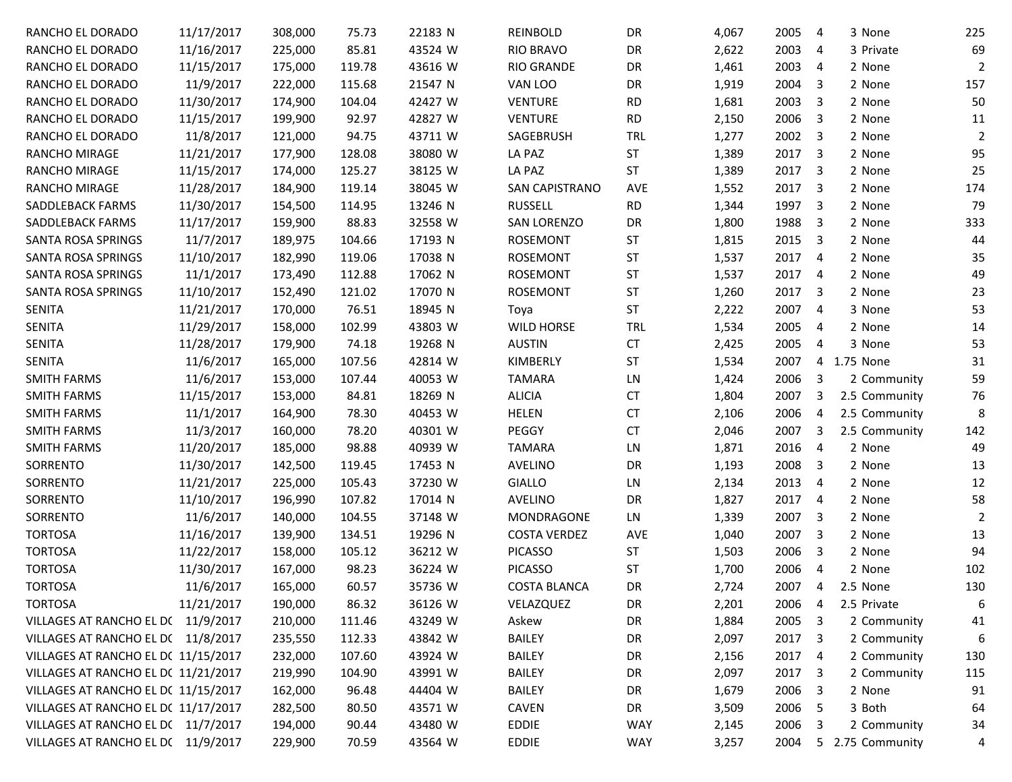| RANCHO EL DORADO                    | 11/17/2017 | 308,000 | 75.73  | 22183 N | <b>REINBOLD</b>       | DR         | 4,067 | 2005 | -4                      | 3 None           | 225            |
|-------------------------------------|------------|---------|--------|---------|-----------------------|------------|-------|------|-------------------------|------------------|----------------|
| RANCHO EL DORADO                    | 11/16/2017 | 225,000 | 85.81  | 43524 W | <b>RIO BRAVO</b>      | DR         | 2,622 | 2003 | 4                       | 3 Private        | 69             |
| RANCHO EL DORADO                    | 11/15/2017 | 175,000 | 119.78 | 43616 W | <b>RIO GRANDE</b>     | DR         | 1,461 | 2003 | 4                       | 2 None           | $\overline{2}$ |
| RANCHO EL DORADO                    | 11/9/2017  | 222,000 | 115.68 | 21547 N | VAN LOO               | DR         | 1,919 | 2004 | -3                      | 2 None           | 157            |
| RANCHO EL DORADO                    | 11/30/2017 | 174,900 | 104.04 | 42427 W | <b>VENTURE</b>        | <b>RD</b>  | 1,681 | 2003 | -3                      | 2 None           | 50             |
| RANCHO EL DORADO                    | 11/15/2017 | 199,900 | 92.97  | 42827 W | <b>VENTURE</b>        | <b>RD</b>  | 2,150 | 2006 | -3                      | 2 None           | 11             |
| RANCHO EL DORADO                    | 11/8/2017  | 121,000 | 94.75  | 43711 W | SAGEBRUSH             | <b>TRL</b> | 1,277 | 2002 | -3                      | 2 None           | $\overline{2}$ |
| RANCHO MIRAGE                       | 11/21/2017 | 177,900 | 128.08 | 38080 W | LA PAZ                | <b>ST</b>  | 1,389 | 2017 | $\overline{3}$          | 2 None           | 95             |
| RANCHO MIRAGE                       | 11/15/2017 | 174,000 | 125.27 | 38125 W | LA PAZ                | <b>ST</b>  | 1,389 | 2017 | -3                      | 2 None           | 25             |
| RANCHO MIRAGE                       | 11/28/2017 | 184,900 | 119.14 | 38045 W | <b>SAN CAPISTRANO</b> | <b>AVE</b> | 1,552 | 2017 | -3                      | 2 None           | 174            |
| SADDLEBACK FARMS                    | 11/30/2017 | 154,500 | 114.95 | 13246 N | <b>RUSSELL</b>        | <b>RD</b>  | 1,344 | 1997 | -3                      | 2 None           | 79             |
| SADDLEBACK FARMS                    | 11/17/2017 | 159,900 | 88.83  | 32558 W | <b>SAN LORENZO</b>    | DR         | 1,800 | 1988 | -3                      | 2 None           | 333            |
| SANTA ROSA SPRINGS                  | 11/7/2017  | 189,975 | 104.66 | 17193 N | <b>ROSEMONT</b>       | <b>ST</b>  | 1,815 | 2015 | -3                      | 2 None           | 44             |
| SANTA ROSA SPRINGS                  | 11/10/2017 | 182,990 | 119.06 | 17038 N | <b>ROSEMONT</b>       | <b>ST</b>  | 1,537 | 2017 | -4                      | 2 None           | 35             |
| SANTA ROSA SPRINGS                  | 11/1/2017  | 173,490 | 112.88 | 17062 N | <b>ROSEMONT</b>       | <b>ST</b>  | 1,537 | 2017 | -4                      | 2 None           | 49             |
| SANTA ROSA SPRINGS                  | 11/10/2017 | 152,490 | 121.02 | 17070 N | <b>ROSEMONT</b>       | <b>ST</b>  | 1,260 | 2017 | -3                      | 2 None           | 23             |
| <b>SENITA</b>                       | 11/21/2017 | 170,000 | 76.51  | 18945 N | Toya                  | <b>ST</b>  | 2,222 | 2007 | -4                      | 3 None           | 53             |
| <b>SENITA</b>                       | 11/29/2017 | 158,000 | 102.99 | 43803 W | <b>WILD HORSE</b>     | <b>TRL</b> | 1,534 | 2005 | 4                       | 2 None           | 14             |
| <b>SENITA</b>                       | 11/28/2017 | 179,900 | 74.18  | 19268 N | <b>AUSTIN</b>         | <b>CT</b>  | 2,425 | 2005 | -4                      | 3 None           | 53             |
| <b>SENITA</b>                       | 11/6/2017  | 165,000 | 107.56 | 42814 W | KIMBERLY              | <b>ST</b>  | 1,534 | 2007 |                         | 4 1.75 None      | 31             |
| <b>SMITH FARMS</b>                  | 11/6/2017  | 153,000 | 107.44 | 40053 W | <b>TAMARA</b>         | LN         | 1,424 | 2006 | 3                       | 2 Community      | 59             |
| <b>SMITH FARMS</b>                  | 11/15/2017 | 153,000 | 84.81  | 18269 N | <b>ALICIA</b>         | <b>CT</b>  | 1,804 | 2007 | 3                       | 2.5 Community    | 76             |
| <b>SMITH FARMS</b>                  | 11/1/2017  | 164,900 | 78.30  | 40453 W | <b>HELEN</b>          | <b>CT</b>  | 2,106 | 2006 | 4                       | 2.5 Community    | 8              |
| <b>SMITH FARMS</b>                  | 11/3/2017  | 160,000 | 78.20  | 40301 W | PEGGY                 | <b>CT</b>  | 2,046 | 2007 | 3                       | 2.5 Community    | 142            |
| <b>SMITH FARMS</b>                  | 11/20/2017 | 185,000 | 98.88  | 40939 W | <b>TAMARA</b>         | LN         | 1,871 | 2016 | -4                      | 2 None           | 49             |
| SORRENTO                            | 11/30/2017 | 142,500 | 119.45 | 17453 N | <b>AVELINO</b>        | DR         | 1,193 | 2008 | -3                      | 2 None           | 13             |
| SORRENTO                            | 11/21/2017 | 225,000 | 105.43 | 37230 W | <b>GIALLO</b>         | LN         | 2,134 | 2013 | -4                      | 2 None           | 12             |
| SORRENTO                            | 11/10/2017 | 196,990 | 107.82 | 17014 N | <b>AVELINO</b>        | DR         | 1,827 | 2017 | 4                       | 2 None           | 58             |
| SORRENTO                            | 11/6/2017  | 140,000 | 104.55 | 37148 W | MONDRAGONE            | LN         | 1,339 | 2007 | $\overline{\mathbf{3}}$ | 2 None           | $\overline{2}$ |
| <b>TORTOSA</b>                      | 11/16/2017 | 139,900 | 134.51 | 19296 N | <b>COSTA VERDEZ</b>   | <b>AVE</b> | 1,040 | 2007 | -3                      | 2 None           | 13             |
| <b>TORTOSA</b>                      | 11/22/2017 | 158,000 | 105.12 | 36212 W | <b>PICASSO</b>        | <b>ST</b>  | 1,503 | 2006 | $\overline{3}$          | 2 None           | 94             |
| <b>TORTOSA</b>                      | 11/30/2017 | 167,000 | 98.23  | 36224 W | <b>PICASSO</b>        | <b>ST</b>  | 1,700 | 2006 | -4                      | 2 None           | 102            |
| <b>TORTOSA</b>                      | 11/6/2017  | 165,000 | 60.57  | 35736 W | <b>COSTA BLANCA</b>   | <b>DR</b>  | 2,724 | 2007 | 4                       | 2.5 None         | 130            |
| <b>TORTOSA</b>                      | 11/21/2017 | 190,000 | 86.32  | 36126 W | VELAZQUEZ             | DR         | 2,201 | 2006 | 4                       | 2.5 Private      | 6              |
| VILLAGES AT RANCHO EL D(11/9/2017   |            | 210,000 | 111.46 | 43249 W | Askew                 | DR         | 1,884 | 2005 | 3                       | 2 Community      | 41             |
| VILLAGES AT RANCHO EL D(11/8/2017   |            | 235,550 | 112.33 | 43842 W | <b>BAILEY</b>         | DR         | 2,097 | 2017 | $\overline{\mathbf{3}}$ | 2 Community      | 6              |
| VILLAGES AT RANCHO EL D( 11/15/2017 |            | 232,000 | 107.60 | 43924 W | <b>BAILEY</b>         | DR         | 2,156 | 2017 | $\overline{4}$          | 2 Community      | 130            |
| VILLAGES AT RANCHO EL D( 11/21/2017 |            | 219,990 | 104.90 | 43991 W | <b>BAILEY</b>         | DR         | 2,097 | 2017 | $\overline{\mathbf{3}}$ | 2 Community      | 115            |
| VILLAGES AT RANCHO EL D( 11/15/2017 |            | 162,000 | 96.48  | 44404 W | <b>BAILEY</b>         | DR         | 1,679 | 2006 | - 3                     | 2 None           | 91             |
| VILLAGES AT RANCHO EL D( 11/17/2017 |            | 282,500 | 80.50  | 43571 W | <b>CAVEN</b>          | DR         | 3,509 | 2006 | - 5                     | 3 Both           | 64             |
| VILLAGES AT RANCHO EL D(11/7/2017   |            | 194,000 | 90.44  | 43480 W | <b>EDDIE</b>          | <b>WAY</b> | 2,145 | 2006 | 3                       | 2 Community      | 34             |
| VILLAGES AT RANCHO EL D(11/9/2017   |            | 229,900 | 70.59  | 43564 W | <b>EDDIE</b>          | <b>WAY</b> | 3,257 | 2004 |                         | 5 2.75 Community | 4              |